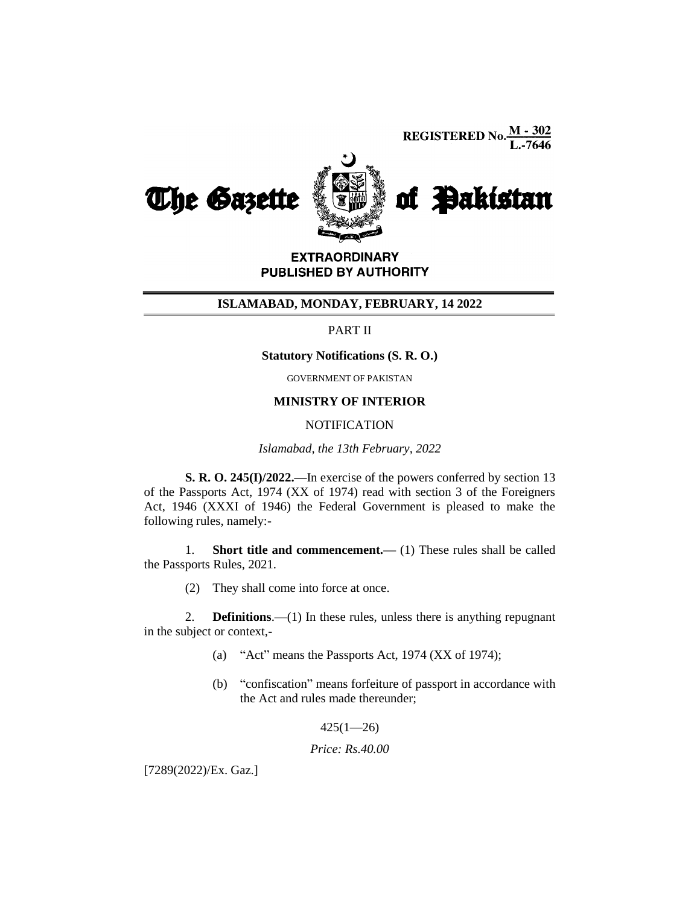**REGISTERED No.**  $\frac{M - 302}{L - 7646}$ 



**EXTRAORDINARY** PUBLISHED BY AUTHORITY

### **ISLAMABAD, MONDAY, FEBRUARY, 14 2022**

## PART II

#### **Statutory Notifications (S. R. O.)**

GOVERNMENT OF PAKISTAN

### **MINISTRY OF INTERIOR**

#### **NOTIFICATION**

*Islamabad, the 13th February, 2022*

**S. R. O. 245(I)/2022.—**In exercise of the powers conferred by section 13 of the Passports Act, 1974 (XX of 1974) read with section 3 of the Foreigners Act, 1946 (XXXI of 1946) the Federal Government is pleased to make the following rules, namely:-

1. **Short title and commencement.—** (1) These rules shall be called the Passports Rules, 2021.

(2) They shall come into force at once.

2. **Definitions**.—(1) In these rules, unless there is anything repugnant in the subject or context,-

- (a) "Act" means the Passports Act, 1974 (XX of 1974);
- (b) "confiscation" means forfeiture of passport in accordance with the Act and rules made thereunder;

 $425(1 - 26)$ 

#### *Price: Rs.40.00*

[7289(2022)/Ex. Gaz.]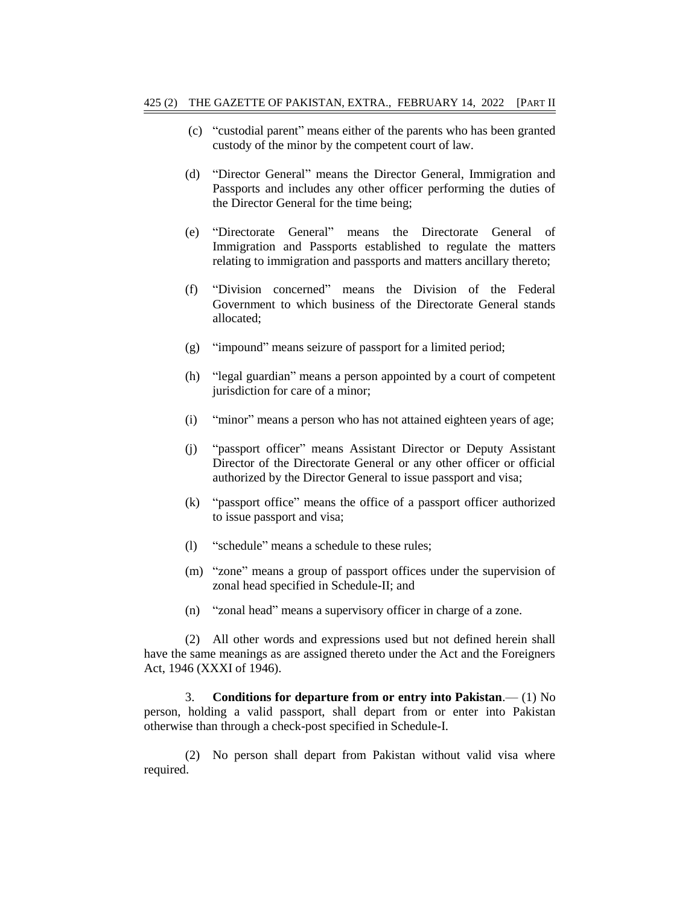- (c) "custodial parent" means either of the parents who has been granted custody of the minor by the competent court of law.
- (d) "Director General" means the Director General, Immigration and Passports and includes any other officer performing the duties of the Director General for the time being;
- (e) "Directorate General" means the Directorate General of Immigration and Passports established to regulate the matters relating to immigration and passports and matters ancillary thereto;
- (f) "Division concerned" means the Division of the Federal Government to which business of the Directorate General stands allocated;
- (g) "impound" means seizure of passport for a limited period;
- (h) "legal guardian" means a person appointed by a court of competent jurisdiction for care of a minor;
- (i) "minor" means a person who has not attained eighteen years of age;
- (j) "passport officer" means Assistant Director or Deputy Assistant Director of the Directorate General or any other officer or official authorized by the Director General to issue passport and visa;
- (k) "passport office" means the office of a passport officer authorized to issue passport and visa;
- (l) "schedule" means a schedule to these rules;
- (m) "zone" means a group of passport offices under the supervision of zonal head specified in Schedule-II; and
- (n) "zonal head" means a supervisory officer in charge of a zone.

(2) All other words and expressions used but not defined herein shall have the same meanings as are assigned thereto under the Act and the Foreigners Act, 1946 (XXXI of 1946).

3. **Conditions for departure from or entry into Pakistan**.— (1) No person, holding a valid passport, shall depart from or enter into Pakistan otherwise than through a check-post specified in Schedule-I.

(2) No person shall depart from Pakistan without valid visa where required.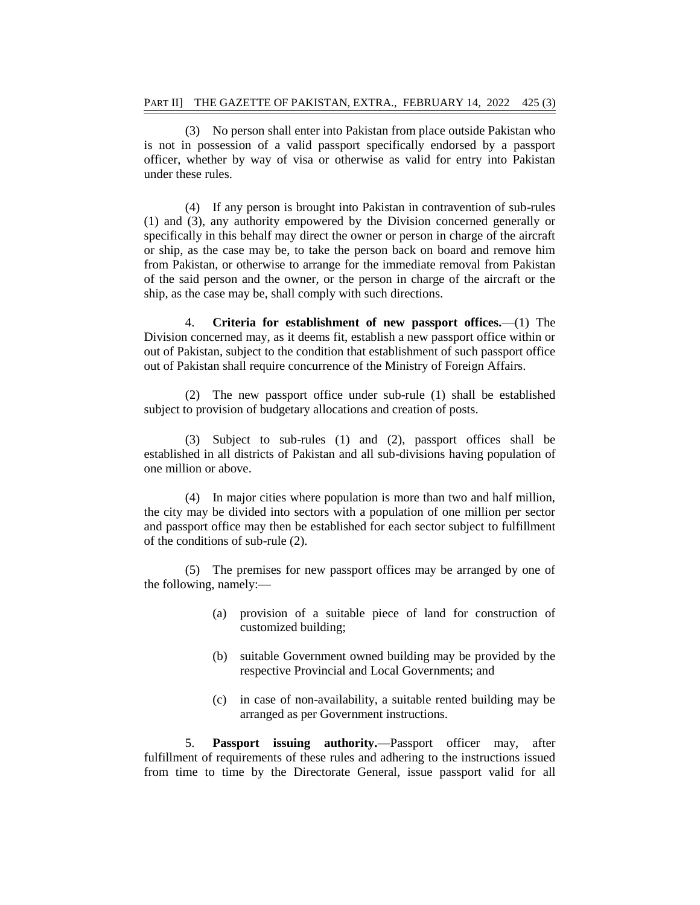(3) No person shall enter into Pakistan from place outside Pakistan who is not in possession of a valid passport specifically endorsed by a passport officer, whether by way of visa or otherwise as valid for entry into Pakistan under these rules.

(4) If any person is brought into Pakistan in contravention of sub-rules (1) and (3), any authority empowered by the Division concerned generally or specifically in this behalf may direct the owner or person in charge of the aircraft or ship, as the case may be, to take the person back on board and remove him from Pakistan, or otherwise to arrange for the immediate removal from Pakistan of the said person and the owner, or the person in charge of the aircraft or the ship, as the case may be, shall comply with such directions.

4. **Criteria for establishment of new passport offices.**—(1) The Division concerned may, as it deems fit, establish a new passport office within or out of Pakistan, subject to the condition that establishment of such passport office out of Pakistan shall require concurrence of the Ministry of Foreign Affairs.

(2) The new passport office under sub-rule (1) shall be established subject to provision of budgetary allocations and creation of posts.

(3) Subject to sub-rules (1) and (2), passport offices shall be established in all districts of Pakistan and all sub-divisions having population of one million or above.

(4) In major cities where population is more than two and half million, the city may be divided into sectors with a population of one million per sector and passport office may then be established for each sector subject to fulfillment of the conditions of sub-rule (2).

(5) The premises for new passport offices may be arranged by one of the following, namely:—

- (a) provision of a suitable piece of land for construction of customized building;
- (b) suitable Government owned building may be provided by the respective Provincial and Local Governments; and
- (c) in case of non-availability, a suitable rented building may be arranged as per Government instructions.

5. **Passport issuing authority.**—Passport officer may, after fulfillment of requirements of these rules and adhering to the instructions issued from time to time by the Directorate General, issue passport valid for all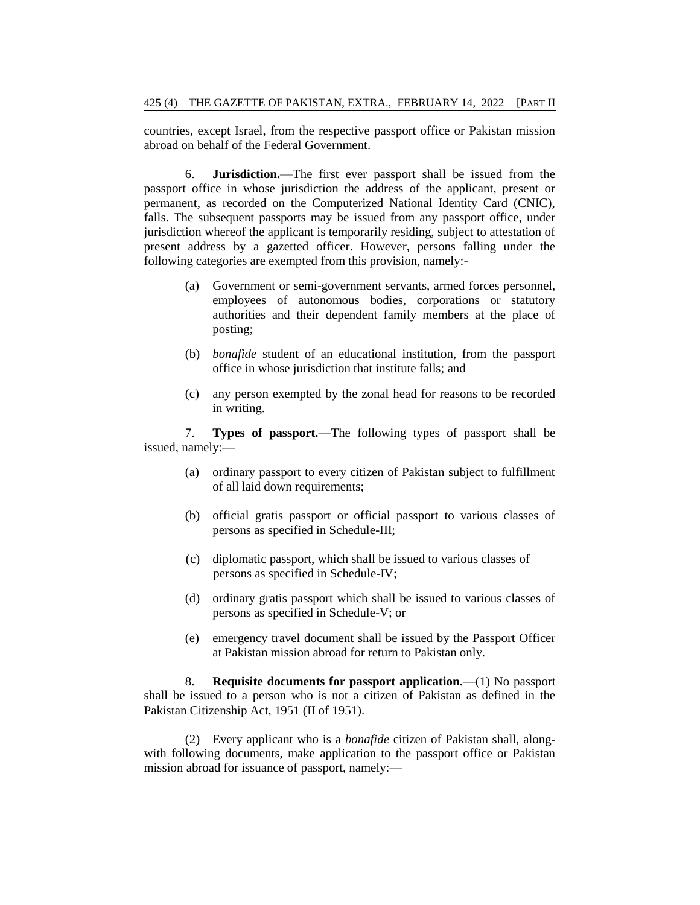countries, except Israel, from the respective passport office or Pakistan mission abroad on behalf of the Federal Government.

6. **Jurisdiction.**—The first ever passport shall be issued from the passport office in whose jurisdiction the address of the applicant, present or permanent, as recorded on the Computerized National Identity Card (CNIC), falls. The subsequent passports may be issued from any passport office, under jurisdiction whereof the applicant is temporarily residing, subject to attestation of present address by a gazetted officer. However, persons falling under the following categories are exempted from this provision, namely:-

- (a) Government or semi-government servants, armed forces personnel, employees of autonomous bodies, corporations or statutory authorities and their dependent family members at the place of posting;
- (b) *bonafide* student of an educational institution, from the passport office in whose jurisdiction that institute falls; and
- (c) any person exempted by the zonal head for reasons to be recorded in writing.

7. **Types of passport.—**The following types of passport shall be issued, namely:—

- (a) ordinary passport to every citizen of Pakistan subject to fulfillment of all laid down requirements;
- (b) official gratis passport or official passport to various classes of persons as specified in Schedule-III;
- (c) diplomatic passport, which shall be issued to various classes of persons as specified in Schedule-IV;
- (d) ordinary gratis passport which shall be issued to various classes of persons as specified in Schedule-V; or
- (e) emergency travel document shall be issued by the Passport Officer at Pakistan mission abroad for return to Pakistan only.

8. **Requisite documents for passport application.**—(1) No passport shall be issued to a person who is not a citizen of Pakistan as defined in the Pakistan Citizenship Act, 1951 (II of 1951).

(2) Every applicant who is a *bonafide* citizen of Pakistan shall, alongwith following documents, make application to the passport office or Pakistan mission abroad for issuance of passport, namely:—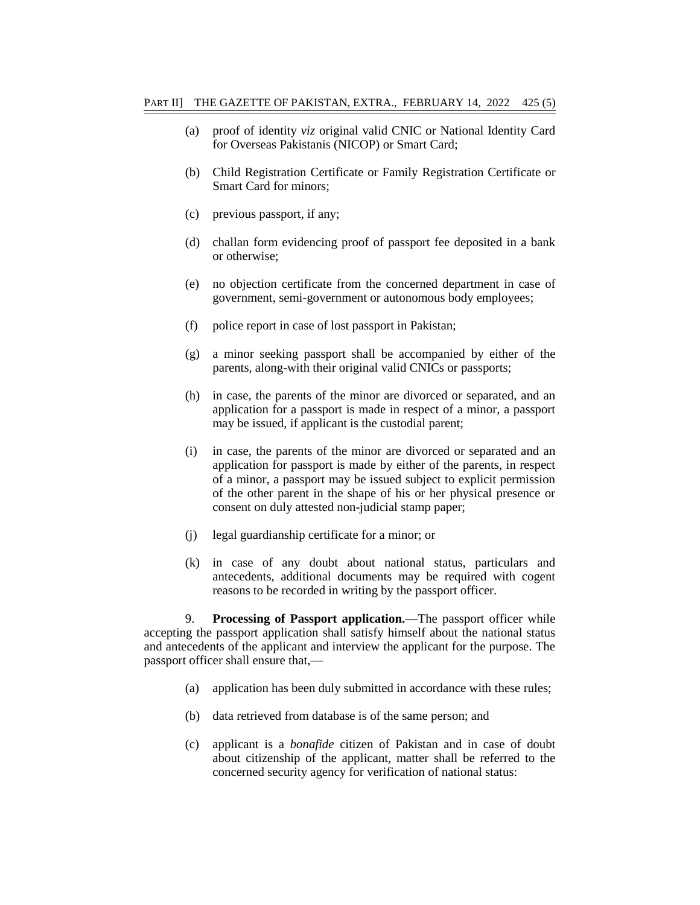- (a) proof of identity *viz* original valid CNIC or National Identity Card for Overseas Pakistanis (NICOP) or Smart Card;
- (b) Child Registration Certificate or Family Registration Certificate or Smart Card for minors;
- (c) previous passport, if any;
- (d) challan form evidencing proof of passport fee deposited in a bank or otherwise;
- (e) no objection certificate from the concerned department in case of government, semi-government or autonomous body employees;
- (f) police report in case of lost passport in Pakistan;
- (g) a minor seeking passport shall be accompanied by either of the parents, along-with their original valid CNICs or passports;
- (h) in case, the parents of the minor are divorced or separated, and an application for a passport is made in respect of a minor, a passport may be issued, if applicant is the custodial parent;
- (i) in case, the parents of the minor are divorced or separated and an application for passport is made by either of the parents, in respect of a minor, a passport may be issued subject to explicit permission of the other parent in the shape of his or her physical presence or consent on duly attested non-judicial stamp paper;
- (j) legal guardianship certificate for a minor; or
- (k) in case of any doubt about national status, particulars and antecedents, additional documents may be required with cogent reasons to be recorded in writing by the passport officer.

9. **Processing of Passport application.—**The passport officer while accepting the passport application shall satisfy himself about the national status and antecedents of the applicant and interview the applicant for the purpose. The passport officer shall ensure that,—

- (a) application has been duly submitted in accordance with these rules;
- (b) data retrieved from database is of the same person; and
- (c) applicant is a *bonafide* citizen of Pakistan and in case of doubt about citizenship of the applicant, matter shall be referred to the concerned security agency for verification of national status: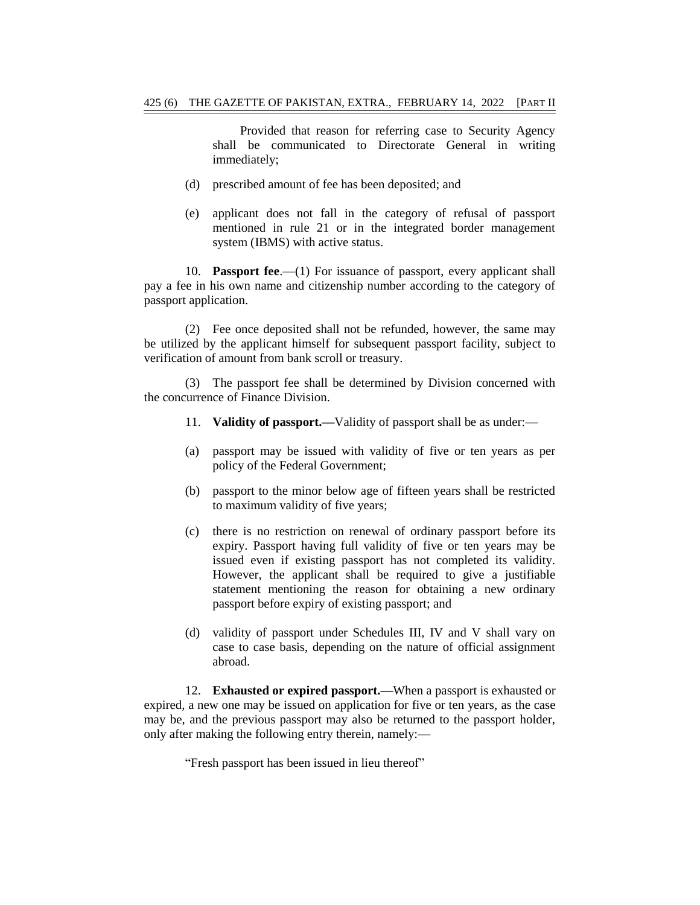Provided that reason for referring case to Security Agency shall be communicated to Directorate General in writing immediately;

- (d) prescribed amount of fee has been deposited; and
- (e) applicant does not fall in the category of refusal of passport mentioned in rule 21 or in the integrated border management system (IBMS) with active status.

10. **Passport fee**.—(1) For issuance of passport, every applicant shall pay a fee in his own name and citizenship number according to the category of passport application.

(2) Fee once deposited shall not be refunded, however, the same may be utilized by the applicant himself for subsequent passport facility, subject to verification of amount from bank scroll or treasury.

(3) The passport fee shall be determined by Division concerned with the concurrence of Finance Division.

- 11. **Validity of passport.—**Validity of passport shall be as under:—
- (a) passport may be issued with validity of five or ten years as per policy of the Federal Government;
- (b) passport to the minor below age of fifteen years shall be restricted to maximum validity of five years;
- (c) there is no restriction on renewal of ordinary passport before its expiry. Passport having full validity of five or ten years may be issued even if existing passport has not completed its validity. However, the applicant shall be required to give a justifiable statement mentioning the reason for obtaining a new ordinary passport before expiry of existing passport; and
- (d) validity of passport under Schedules III, IV and V shall vary on case to case basis, depending on the nature of official assignment abroad.

12. **Exhausted or expired passport.—**When a passport is exhausted or expired, a new one may be issued on application for five or ten years, as the case may be, and the previous passport may also be returned to the passport holder, only after making the following entry therein, namely:—

"Fresh passport has been issued in lieu thereof"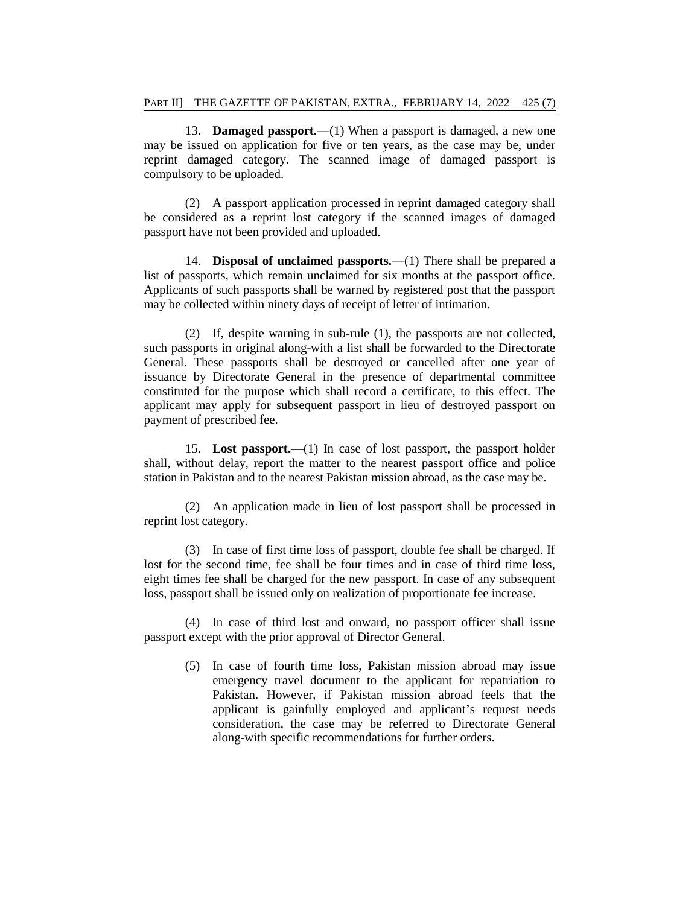13. **Damaged passport.—**(1) When a passport is damaged, a new one may be issued on application for five or ten years, as the case may be, under reprint damaged category. The scanned image of damaged passport is compulsory to be uploaded.

(2) A passport application processed in reprint damaged category shall be considered as a reprint lost category if the scanned images of damaged passport have not been provided and uploaded.

14. **Disposal of unclaimed passports.**—(1) There shall be prepared a list of passports, which remain unclaimed for six months at the passport office. Applicants of such passports shall be warned by registered post that the passport may be collected within ninety days of receipt of letter of intimation.

(2) If, despite warning in sub-rule (1), the passports are not collected, such passports in original along-with a list shall be forwarded to the Directorate General. These passports shall be destroyed or cancelled after one year of issuance by Directorate General in the presence of departmental committee constituted for the purpose which shall record a certificate, to this effect. The applicant may apply for subsequent passport in lieu of destroyed passport on payment of prescribed fee.

15. **Lost passport.—**(1) In case of lost passport, the passport holder shall, without delay, report the matter to the nearest passport office and police station in Pakistan and to the nearest Pakistan mission abroad, as the case may be.

(2) An application made in lieu of lost passport shall be processed in reprint lost category.

(3) In case of first time loss of passport, double fee shall be charged. If lost for the second time, fee shall be four times and in case of third time loss, eight times fee shall be charged for the new passport. In case of any subsequent loss, passport shall be issued only on realization of proportionate fee increase.

(4) In case of third lost and onward, no passport officer shall issue passport except with the prior approval of Director General.

(5) In case of fourth time loss, Pakistan mission abroad may issue emergency travel document to the applicant for repatriation to Pakistan. However, if Pakistan mission abroad feels that the applicant is gainfully employed and applicant's request needs consideration, the case may be referred to Directorate General along-with specific recommendations for further orders.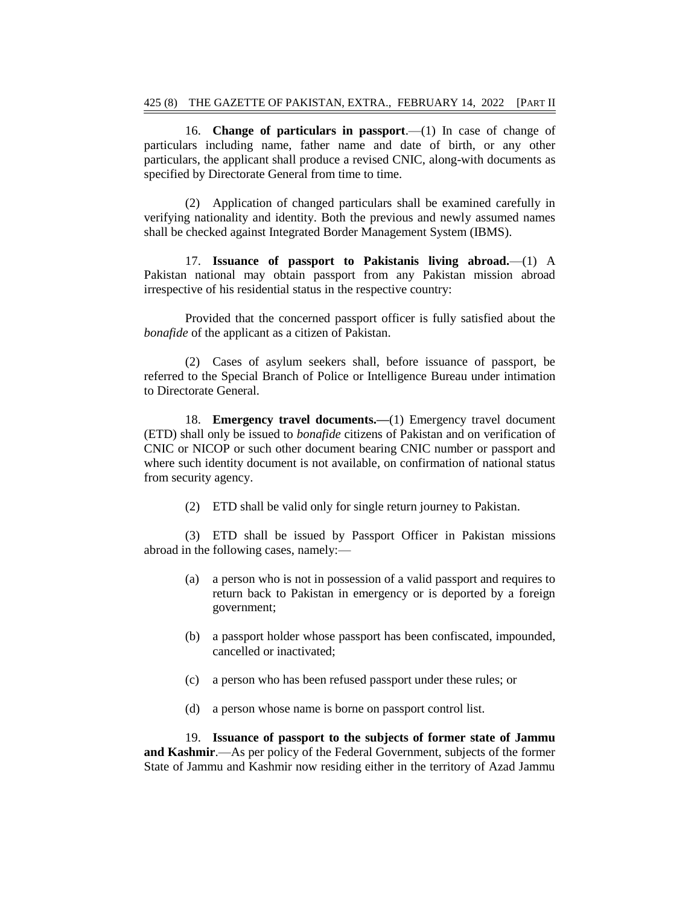16. **Change of particulars in passport**.—(1) In case of change of particulars including name, father name and date of birth, or any other particulars, the applicant shall produce a revised CNIC, along-with documents as specified by Directorate General from time to time.

(2) Application of changed particulars shall be examined carefully in verifying nationality and identity. Both the previous and newly assumed names shall be checked against Integrated Border Management System (IBMS).

17. **Issuance of passport to Pakistanis living abroad.**—(1) A Pakistan national may obtain passport from any Pakistan mission abroad irrespective of his residential status in the respective country:

Provided that the concerned passport officer is fully satisfied about the *bonafide* of the applicant as a citizen of Pakistan.

(2) Cases of asylum seekers shall, before issuance of passport, be referred to the Special Branch of Police or Intelligence Bureau under intimation to Directorate General.

18. **Emergency travel documents.—**(1) Emergency travel document (ETD) shall only be issued to *bonafide* citizens of Pakistan and on verification of CNIC or NICOP or such other document bearing CNIC number or passport and where such identity document is not available, on confirmation of national status from security agency.

(2) ETD shall be valid only for single return journey to Pakistan.

(3) ETD shall be issued by Passport Officer in Pakistan missions abroad in the following cases, namely:—

- (a) a person who is not in possession of a valid passport and requires to return back to Pakistan in emergency or is deported by a foreign government;
- (b) a passport holder whose passport has been confiscated, impounded, cancelled or inactivated;
- (c) a person who has been refused passport under these rules; or
- (d) a person whose name is borne on passport control list.

19. **Issuance of passport to the subjects of former state of Jammu and Kashmir**.—As per policy of the Federal Government, subjects of the former State of Jammu and Kashmir now residing either in the territory of Azad Jammu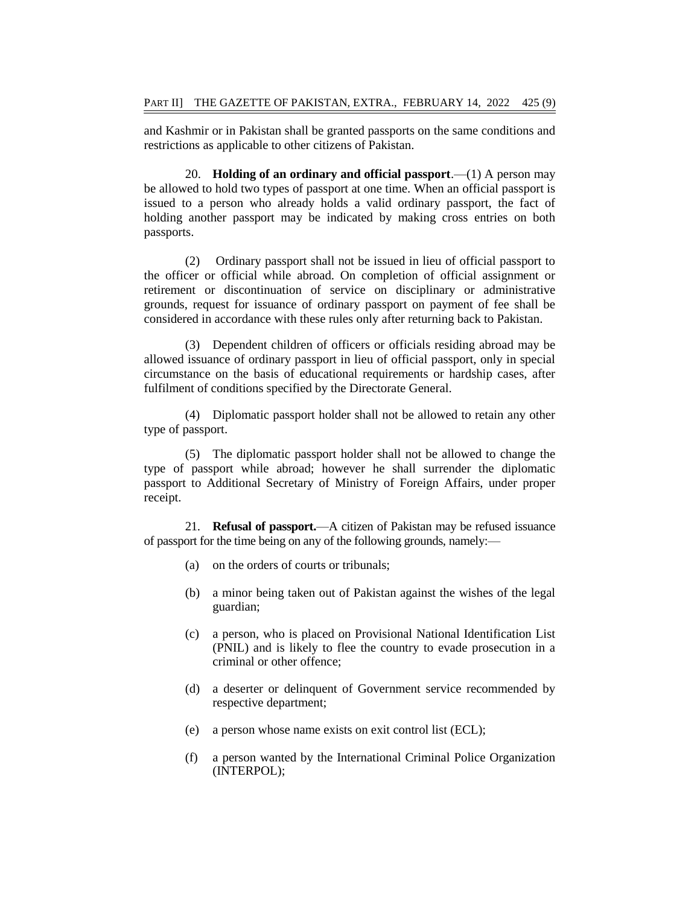and Kashmir or in Pakistan shall be granted passports on the same conditions and restrictions as applicable to other citizens of Pakistan.

20. **Holding of an ordinary and official passport**.—(1) A person may be allowed to hold two types of passport at one time. When an official passport is issued to a person who already holds a valid ordinary passport, the fact of holding another passport may be indicated by making cross entries on both passports.

(2) Ordinary passport shall not be issued in lieu of official passport to the officer or official while abroad. On completion of official assignment or retirement or discontinuation of service on disciplinary or administrative grounds, request for issuance of ordinary passport on payment of fee shall be considered in accordance with these rules only after returning back to Pakistan.

(3) Dependent children of officers or officials residing abroad may be allowed issuance of ordinary passport in lieu of official passport, only in special circumstance on the basis of educational requirements or hardship cases, after fulfilment of conditions specified by the Directorate General.

(4) Diplomatic passport holder shall not be allowed to retain any other type of passport.

(5) The diplomatic passport holder shall not be allowed to change the type of passport while abroad; however he shall surrender the diplomatic passport to Additional Secretary of Ministry of Foreign Affairs, under proper receipt.

21. **Refusal of passport.**—A citizen of Pakistan may be refused issuance of passport for the time being on any of the following grounds, namely:—

- (a) on the orders of courts or tribunals;
- (b) a minor being taken out of Pakistan against the wishes of the legal guardian;
- (c) a person, who is placed on Provisional National Identification List (PNIL) and is likely to flee the country to evade prosecution in a criminal or other offence;
- (d) a deserter or delinquent of Government service recommended by respective department;
- (e) a person whose name exists on exit control list (ECL);
- (f) a person wanted by the International Criminal Police Organization (INTERPOL);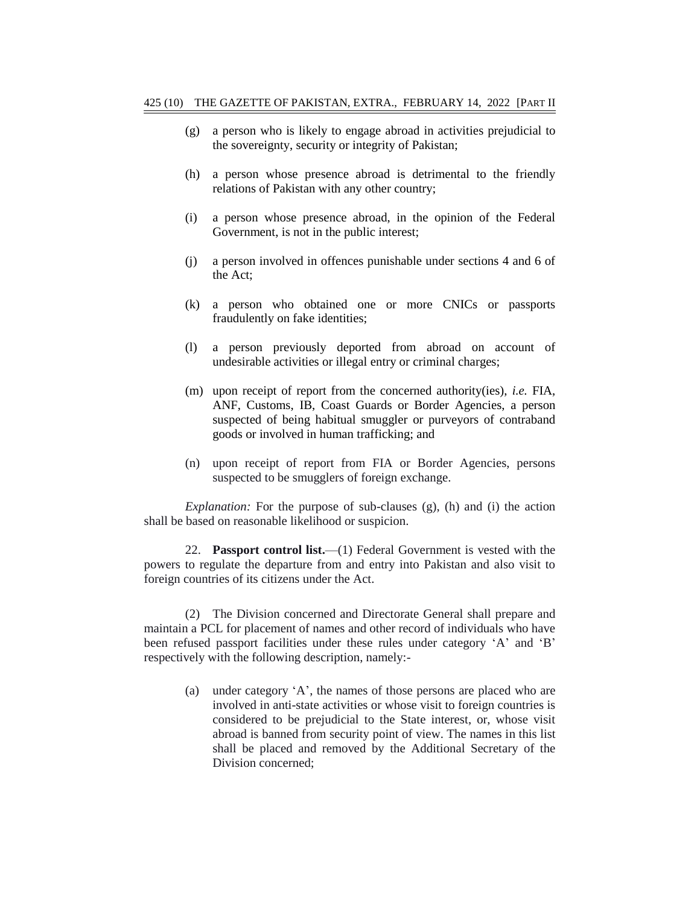- (g) a person who is likely to engage abroad in activities prejudicial to the sovereignty, security or integrity of Pakistan;
- (h) a person whose presence abroad is detrimental to the friendly relations of Pakistan with any other country;
- (i) a person whose presence abroad, in the opinion of the Federal Government, is not in the public interest;
- (j) a person involved in offences punishable under sections 4 and 6 of the Act;
- (k) a person who obtained one or more CNICs or passports fraudulently on fake identities;
- (l) a person previously deported from abroad on account of undesirable activities or illegal entry or criminal charges;
- (m) upon receipt of report from the concerned authority(ies), *i.e.* FIA, ANF, Customs, IB, Coast Guards or Border Agencies, a person suspected of being habitual smuggler or purveyors of contraband goods or involved in human trafficking; and
- (n) upon receipt of report from FIA or Border Agencies, persons suspected to be smugglers of foreign exchange.

*Explanation:* For the purpose of sub-clauses (g), (h) and (i) the action shall be based on reasonable likelihood or suspicion.

22. **Passport control list.**—(1) Federal Government is vested with the powers to regulate the departure from and entry into Pakistan and also visit to foreign countries of its citizens under the Act.

(2) The Division concerned and Directorate General shall prepare and maintain a PCL for placement of names and other record of individuals who have been refused passport facilities under these rules under category "A" and "B" respectively with the following description, namely:-

(a) under category "A", the names of those persons are placed who are involved in anti-state activities or whose visit to foreign countries is considered to be prejudicial to the State interest, or, whose visit abroad is banned from security point of view. The names in this list shall be placed and removed by the Additional Secretary of the Division concerned;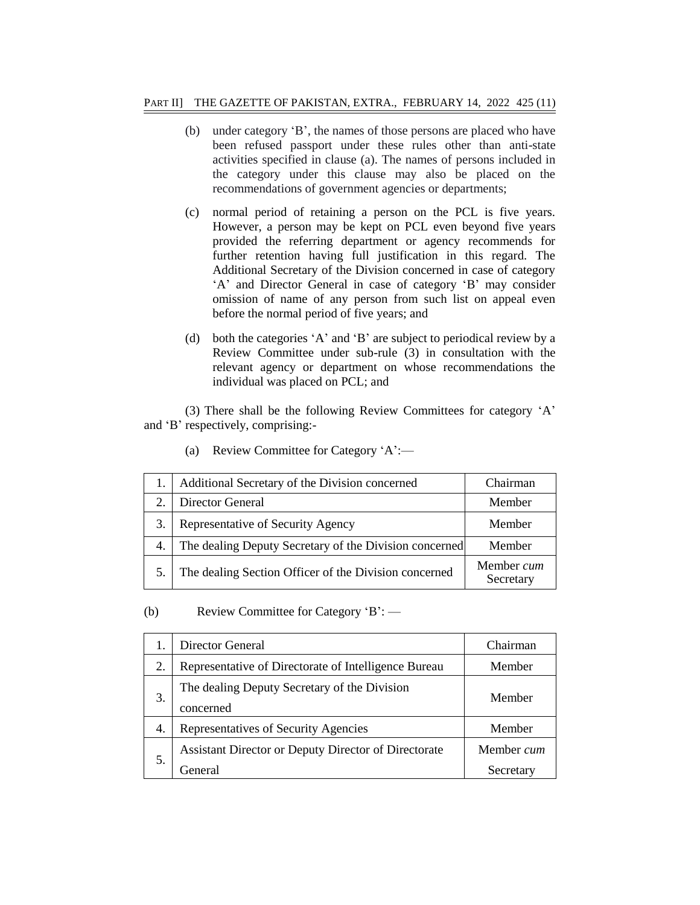- (b) under category "B", the names of those persons are placed who have been refused passport under these rules other than anti-state activities specified in clause (a). The names of persons included in the category under this clause may also be placed on the recommendations of government agencies or departments;
- (c) normal period of retaining a person on the PCL is five years. However, a person may be kept on PCL even beyond five years provided the referring department or agency recommends for further retention having full justification in this regard. The Additional Secretary of the Division concerned in case of category 'A' and Director General in case of category 'B' may consider omission of name of any person from such list on appeal even before the normal period of five years; and
- (d) both the categories "A" and "B" are subject to periodical review by a Review Committee under sub-rule (3) in consultation with the relevant agency or department on whose recommendations the individual was placed on PCL; and

(3) There shall be the following Review Committees for category "A" and 'B' respectively, comprising:-

|    | Additional Secretary of the Division concerned<br>Chairman       |                         |  |  |  |  |
|----|------------------------------------------------------------------|-------------------------|--|--|--|--|
|    | Director General<br>Member                                       |                         |  |  |  |  |
| 3. | Representative of Security Agency<br>Member                      |                         |  |  |  |  |
| 4. | The dealing Deputy Secretary of the Division concerned<br>Member |                         |  |  |  |  |
|    | The dealing Section Officer of the Division concerned            | Member cum<br>Secretary |  |  |  |  |

(a) Review Committee for Category "A":—

(b) Review Committee for Category "B": —

|    | Director General                                                | Chairman                |  |  |  |
|----|-----------------------------------------------------------------|-------------------------|--|--|--|
| 2. | Representative of Directorate of Intelligence Bureau            | Member                  |  |  |  |
| 3. | The dealing Deputy Secretary of the Division<br>concerned       | Member                  |  |  |  |
| 4. | Representatives of Security Agencies<br>Member                  |                         |  |  |  |
| 5. | Assistant Director or Deputy Director of Directorate<br>General | Member cum<br>Secretary |  |  |  |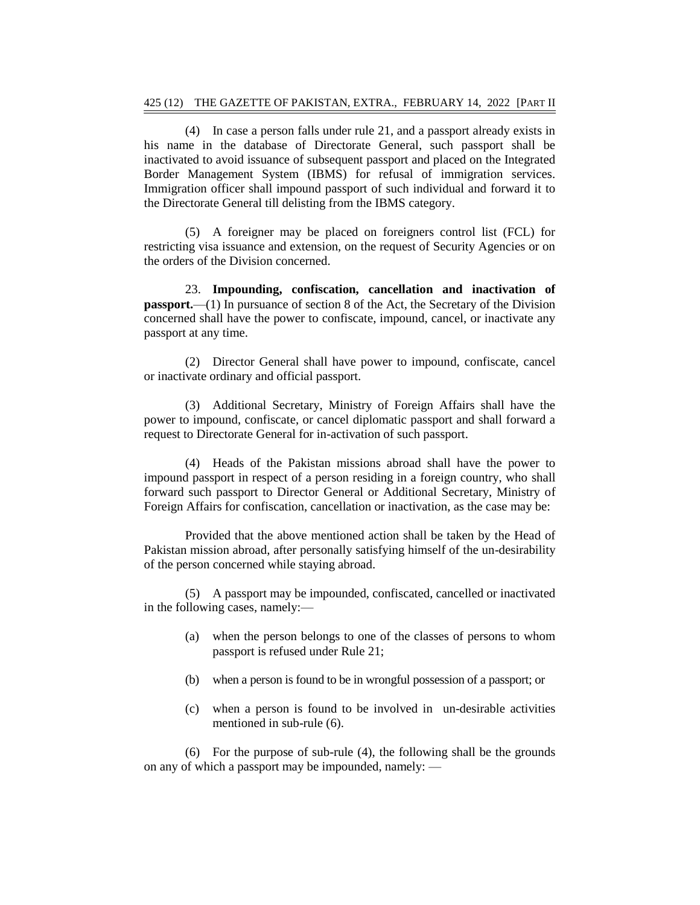(4) In case a person falls under rule 21, and a passport already exists in his name in the database of Directorate General, such passport shall be inactivated to avoid issuance of subsequent passport and placed on the Integrated Border Management System (IBMS) for refusal of immigration services. Immigration officer shall impound passport of such individual and forward it to the Directorate General till delisting from the IBMS category.

(5) A foreigner may be placed on foreigners control list (FCL) for restricting visa issuance and extension, on the request of Security Agencies or on the orders of the Division concerned.

23. **Impounding, confiscation, cancellation and inactivation of passport.**—(1) In pursuance of section 8 of the Act, the Secretary of the Division concerned shall have the power to confiscate, impound, cancel, or inactivate any passport at any time.

(2) Director General shall have power to impound, confiscate, cancel or inactivate ordinary and official passport.

(3) Additional Secretary, Ministry of Foreign Affairs shall have the power to impound, confiscate, or cancel diplomatic passport and shall forward a request to Directorate General for in-activation of such passport.

(4) Heads of the Pakistan missions abroad shall have the power to impound passport in respect of a person residing in a foreign country, who shall forward such passport to Director General or Additional Secretary, Ministry of Foreign Affairs for confiscation, cancellation or inactivation, as the case may be:

Provided that the above mentioned action shall be taken by the Head of Pakistan mission abroad, after personally satisfying himself of the un-desirability of the person concerned while staying abroad.

(5) A passport may be impounded, confiscated, cancelled or inactivated in the following cases, namely:—

- (a) when the person belongs to one of the classes of persons to whom passport is refused under Rule 21;
- (b) when a person is found to be in wrongful possession of a passport; or
- (c) when a person is found to be involved in un-desirable activities mentioned in sub-rule (6).

(6) For the purpose of sub-rule (4), the following shall be the grounds on any of which a passport may be impounded, namely: —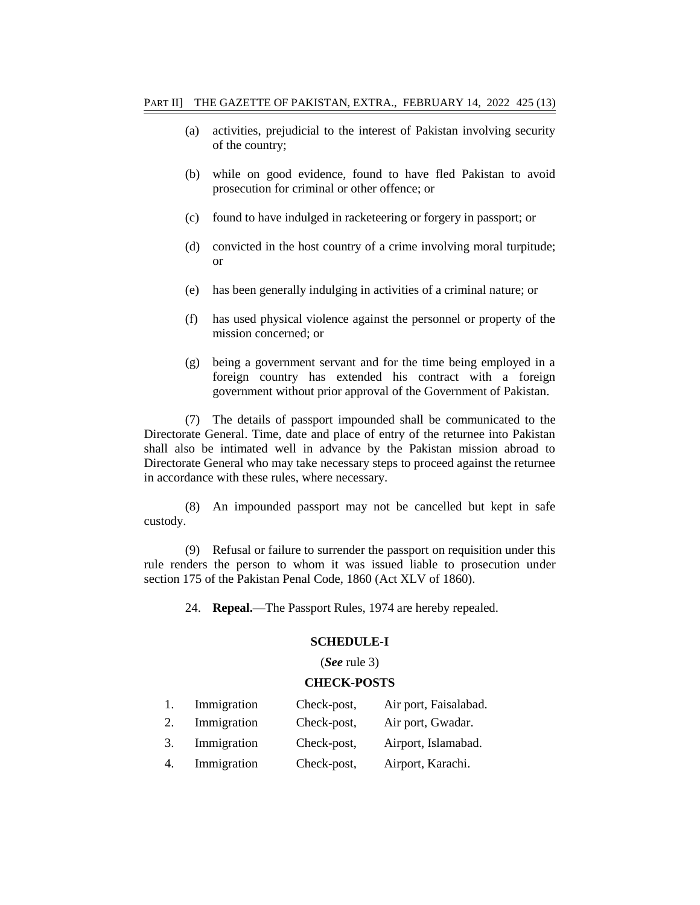- (a) activities, prejudicial to the interest of Pakistan involving security of the country;
- (b) while on good evidence, found to have fled Pakistan to avoid prosecution for criminal or other offence; or
- (c) found to have indulged in racketeering or forgery in passport; or
- (d) convicted in the host country of a crime involving moral turpitude; or
- (e) has been generally indulging in activities of a criminal nature; or
- (f) has used physical violence against the personnel or property of the mission concerned; or
- (g) being a government servant and for the time being employed in a foreign country has extended his contract with a foreign government without prior approval of the Government of Pakistan.

(7) The details of passport impounded shall be communicated to the Directorate General. Time, date and place of entry of the returnee into Pakistan shall also be intimated well in advance by the Pakistan mission abroad to Directorate General who may take necessary steps to proceed against the returnee in accordance with these rules, where necessary.

(8) An impounded passport may not be cancelled but kept in safe custody.

(9) Refusal or failure to surrender the passport on requisition under this rule renders the person to whom it was issued liable to prosecution under section 175 of the Pakistan Penal Code, 1860 (Act XLV of 1860).

24. **Repeal.**—The Passport Rules, 1974 are hereby repealed.

#### **SCHEDULE-I**

### (*See* rule 3)

#### **CHECK-POSTS**

|    | Immigration | Check-post, | Air port, Faisalabad. |
|----|-------------|-------------|-----------------------|
| 2. | Immigration | Check-post, | Air port, Gwadar.     |
| 3. | Immigration | Check-post, | Airport, Islamabad.   |
| 4. | Immigration | Check-post, | Airport, Karachi.     |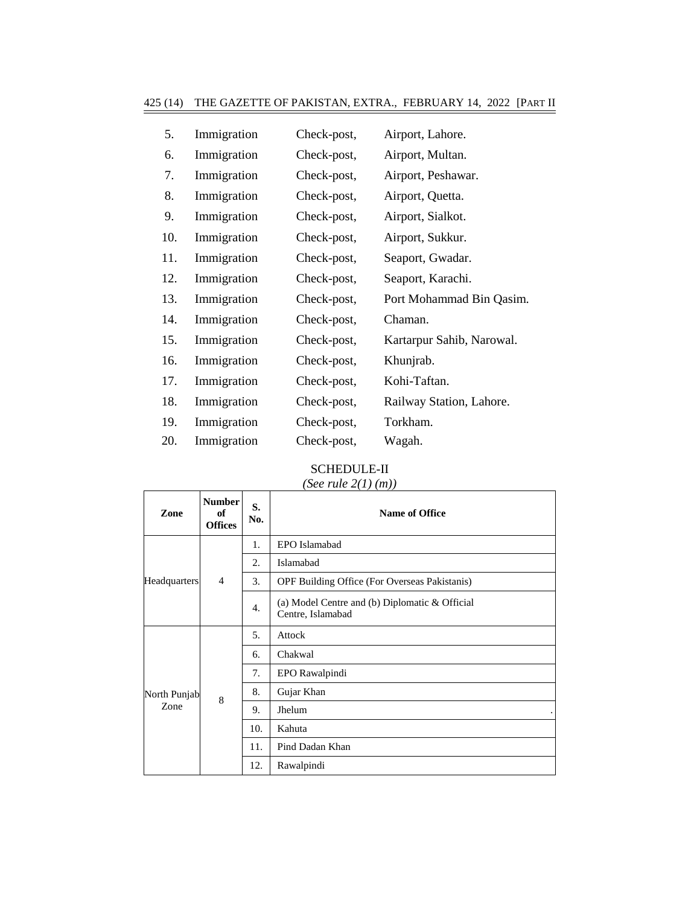| 5.  | Immigration | Check-post, | Airport, Lahore.          |
|-----|-------------|-------------|---------------------------|
| 6.  | Immigration | Check-post, | Airport, Multan.          |
| 7.  | Immigration | Check-post, | Airport, Peshawar.        |
| 8.  | Immigration | Check-post, | Airport, Quetta.          |
| 9.  | Immigration | Check-post, | Airport, Sialkot.         |
| 10. | Immigration | Check-post, | Airport, Sukkur.          |
| 11. | Immigration | Check-post, | Seaport, Gwadar.          |
| 12. | Immigration | Check-post, | Seaport, Karachi.         |
| 13. | Immigration | Check-post, | Port Mohammad Bin Qasim.  |
| 14. | Immigration | Check-post, | Chaman.                   |
| 15. | Immigration | Check-post, | Kartarpur Sahib, Narowal. |
| 16. | Immigration | Check-post, | Khunjrab.                 |
| 17. | Immigration | Check-post, | Kohi-Taftan.              |
| 18. | Immigration | Check-post, | Railway Station, Lahore.  |
| 19. | Immigration | Check-post, | Torkham.                  |
| 20. | Immigration | Check-post, | Wagah.                    |
|     |             |             |                           |

# SCHEDULE-II

# *(See rule 2(1) (m))*

 $\mathsf{r}$ 

┱

٦

| Zone                | <b>Number</b><br>of<br><b>Offices</b> | S.<br>No. | Name of Office                                                      |
|---------------------|---------------------------------------|-----------|---------------------------------------------------------------------|
|                     |                                       | 1.        | EPO Islamabad                                                       |
|                     |                                       | 2.        | Islamabad                                                           |
| <b>Headquarters</b> | $\overline{4}$                        | 3.        | OPF Building Office (For Overseas Pakistanis)                       |
|                     |                                       | 4.        | (a) Model Centre and (b) Diplomatic & Official<br>Centre, Islamabad |
|                     | 8                                     | 5.        | Attock                                                              |
|                     |                                       | 6.        | Chakwal                                                             |
|                     |                                       | 7.        | EPO Rawalpindi                                                      |
| North Punjab        |                                       | 8.        | Gujar Khan                                                          |
| Zone                |                                       | 9.        | Jhelum                                                              |
|                     |                                       | 10.       | Kahuta                                                              |
|                     |                                       | 11.       | Pind Dadan Khan                                                     |
|                     |                                       | 12.       | Rawalpindi                                                          |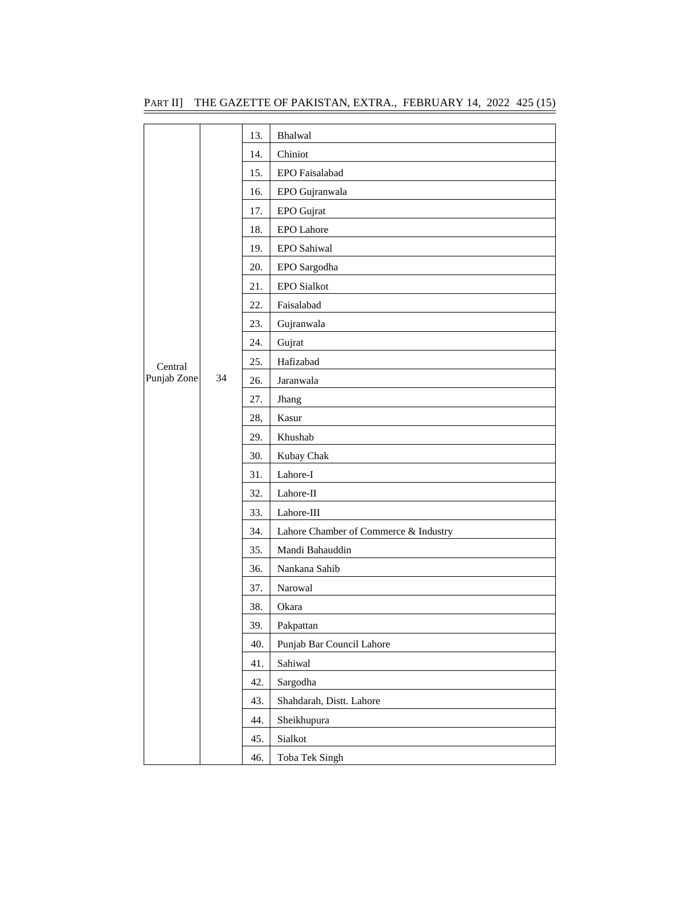|             |    | 13. | Bhalwal                               |
|-------------|----|-----|---------------------------------------|
|             |    | 14. | Chiniot                               |
|             |    | 15. | EPO Faisalabad                        |
|             |    | 16. | EPO Gujranwala                        |
|             |    | 17. | EPO Gujrat                            |
|             |    | 18. | <b>EPO</b> Lahore                     |
|             |    | 19. | EPO Sahiwal                           |
|             |    | 20. | EPO Sargodha                          |
|             |    | 21. | <b>EPO Sialkot</b>                    |
|             |    | 22. | Faisalabad                            |
|             |    | 23. | Gujranwala                            |
|             |    | 24. | Gujrat                                |
| Central     |    | 25. | Hafizabad                             |
| Punjab Zone | 34 | 26. | Jaranwala                             |
|             |    | 27. | Jhang                                 |
|             |    | 28, | Kasur                                 |
|             |    | 29. | Khushab                               |
|             |    | 30. | Kubay Chak                            |
|             |    | 31. | Lahore-I                              |
|             |    | 32. | Lahore-II                             |
|             |    | 33. | Lahore-III                            |
|             |    | 34. | Lahore Chamber of Commerce & Industry |
|             |    | 35. | Mandi Bahauddin                       |
|             |    | 36. | Nankana Sahib                         |
|             |    | 37. | Narowal                               |
|             |    | 38. | Okara                                 |
|             |    | 39. | Pakpattan                             |
|             |    | 40. | Punjab Bar Council Lahore             |
|             |    | 41. | Sahiwal                               |
|             |    | 42. | Sargodha                              |
|             |    | 43. | Shahdarah, Distt. Lahore              |
|             |    | 44. | Sheikhupura                           |
|             |    | 45. | Sialkot                               |
|             |    | 46. | Toba Tek Singh                        |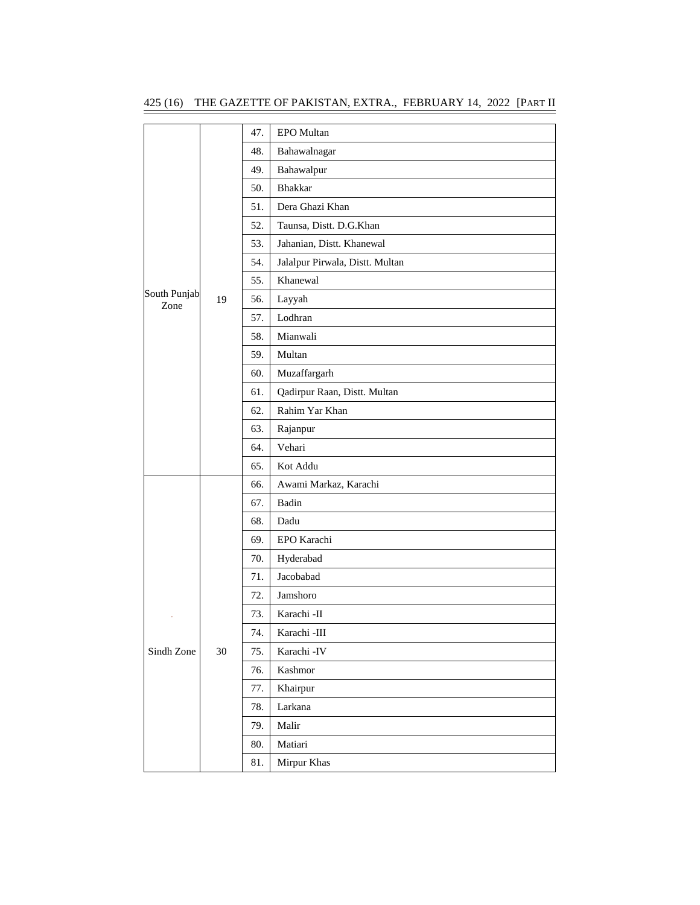|                      |    | 47. | EPO Multan                      |
|----------------------|----|-----|---------------------------------|
|                      |    | 48. | Bahawalnagar                    |
|                      |    | 49. | Bahawalpur                      |
|                      |    | 50. | <b>Bhakkar</b>                  |
|                      |    | 51. | Dera Ghazi Khan                 |
|                      |    | 52. | Taunsa, Distt. D.G.Khan         |
|                      |    | 53. | Jahanian, Distt. Khanewal       |
|                      |    | 54. | Jalalpur Pirwala, Distt. Multan |
|                      |    | 55. | Khanewal                        |
| South Punjab<br>Zone | 19 | 56. | Layyah                          |
|                      |    | 57. | Lodhran                         |
|                      |    | 58. | Mianwali                        |
|                      |    | 59. | Multan                          |
|                      |    | 60. | Muzaffargarh                    |
|                      |    | 61. | Qadirpur Raan, Distt. Multan    |
|                      |    | 62. | Rahim Yar Khan                  |
|                      |    | 63. | Rajanpur                        |
|                      |    | 64. | Vehari                          |
|                      |    | 65. | Kot Addu                        |
|                      |    | 66. | Awami Markaz, Karachi           |
|                      |    | 67. | Badin                           |
|                      |    | 68. | Dadu                            |
|                      |    | 69. | EPO Karachi                     |
|                      |    | 70. | Hyderabad                       |
|                      |    | 71. | Jacobabad                       |
|                      |    | 72. | Jamshoro                        |
|                      |    | 73. | Karachi -II                     |
|                      |    | 74. | Karachi -III                    |
| Sindh Zone           | 30 | 75. | Karachi -IV                     |
|                      |    | 76. | Kashmor                         |
|                      |    | 77. | Khairpur                        |
|                      |    | 78. | Larkana                         |
|                      |    | 79. | Malir                           |
|                      |    | 80. | Matiari                         |
|                      |    | 81. | Mirpur Khas                     |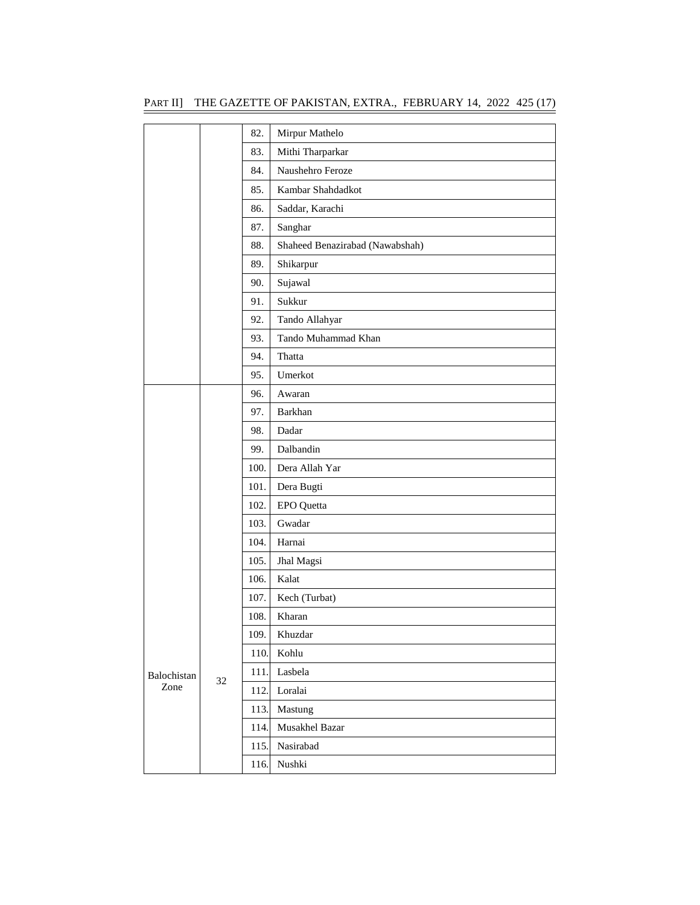|  | PART II] THE GAZETTE OF PAKISTAN, EXTRA.,  FEBRUARY 14, 2022 425 (17) |  |  |  |  |  |
|--|-----------------------------------------------------------------------|--|--|--|--|--|
|--|-----------------------------------------------------------------------|--|--|--|--|--|

|             |    | 82.  | Mirpur Mathelo                  |
|-------------|----|------|---------------------------------|
|             |    | 83.  | Mithi Tharparkar                |
|             |    | 84.  | Naushehro Feroze                |
|             |    | 85.  | Kambar Shahdadkot               |
|             |    | 86.  | Saddar, Karachi                 |
|             |    | 87.  | Sanghar                         |
|             |    | 88.  | Shaheed Benazirabad (Nawabshah) |
|             |    | 89.  | Shikarpur                       |
|             |    | 90.  | Sujawal                         |
|             |    | 91.  | Sukkur                          |
|             |    | 92.  | Tando Allahyar                  |
|             |    | 93.  | Tando Muhammad Khan             |
|             |    | 94.  | Thatta                          |
|             |    | 95.  | Umerkot                         |
|             |    | 96.  | Awaran                          |
|             |    | 97.  | Barkhan                         |
|             |    | 98.  | Dadar                           |
|             |    | 99.  | Dalbandin                       |
|             |    | 100. | Dera Allah Yar                  |
|             |    | 101. | Dera Bugti                      |
|             |    | 102. | EPO Quetta                      |
|             |    | 103. | Gwadar                          |
|             |    | 104. | Harnai                          |
|             |    | 105. | Jhal Magsi                      |
|             |    | 106. | Kalat                           |
|             |    | 107. | Kech (Turbat)                   |
|             |    | 108. | Kharan                          |
|             |    | 109. | Khuzdar                         |
|             |    | 110. | Kohlu                           |
| Balochistan | 32 | 111. | Lasbela                         |
| Zone        |    | 112. | Loralai                         |
|             |    | 113. | Mastung                         |
|             |    | 114. | Musakhel Bazar                  |
|             |    | 115. | Nasirabad                       |
|             |    | 116. | Nushki                          |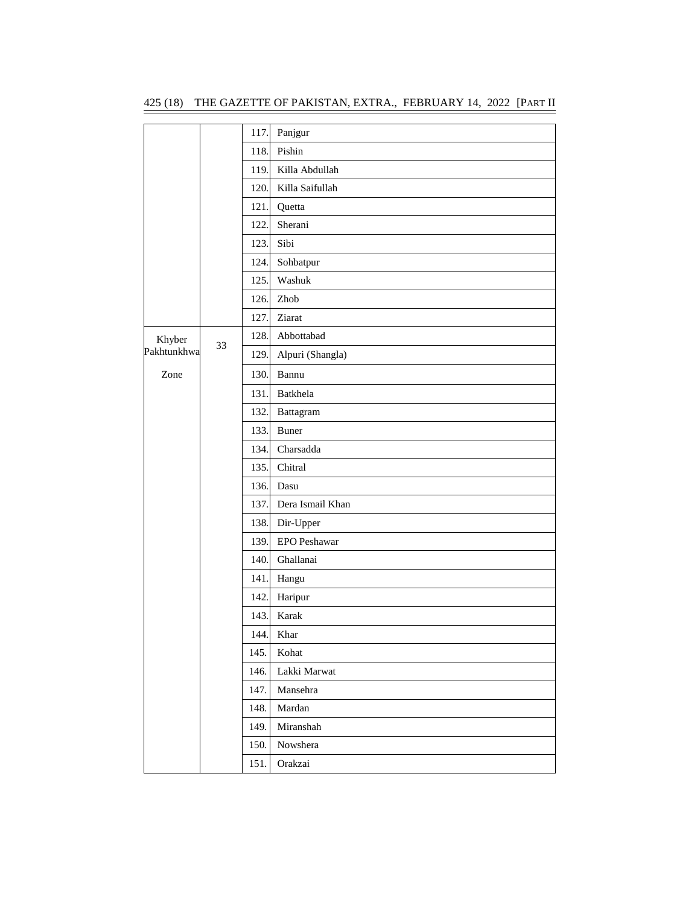|             |    | 117. | Panjgur          |
|-------------|----|------|------------------|
|             |    | 118. | Pishin           |
|             |    | 119. | Killa Abdullah   |
|             |    | 120. | Killa Saifullah  |
|             |    | 121. | Quetta           |
|             |    | 122. | Sherani          |
|             |    | 123. | Sibi             |
|             |    | 124. | Sohbatpur        |
|             |    | 125. | Washuk           |
|             |    | 126. | Zhob             |
|             |    | 127. | Ziarat           |
| Khyber      |    | 128. | Abbottabad       |
| Pakhtunkhwa | 33 | 129. | Alpuri (Shangla) |
| Zone        |    | 130. | Bannu            |
|             |    | 131. | Batkhela         |
|             |    | 132. | Battagram        |
|             |    | 133. | Buner            |
|             |    | 134. | Charsadda        |
|             |    | 135. | Chitral          |
|             |    | 136. | Dasu             |
|             |    | 137. | Dera Ismail Khan |
|             |    | 138. | Dir-Upper        |
|             |    | 139. | EPO Peshawar     |
|             |    | 140. | Ghallanai        |
|             |    | 141. | Hangu            |
|             |    | 142. | Haripur          |
|             |    | 143. | Karak            |
|             |    | 144. | Khar             |
|             |    | 145. | Kohat            |
|             |    | 146. | Lakki Marwat     |
|             |    | 147. | Mansehra         |
|             |    | 148. | Mardan           |
|             |    | 149. | Miranshah        |
|             |    | 150. | Nowshera         |
|             |    | 151. | Orakzai          |

425 (18) THE GAZETTE OF PAKISTAN, EXTRA., FEBRUARY 14, 2022 [PART II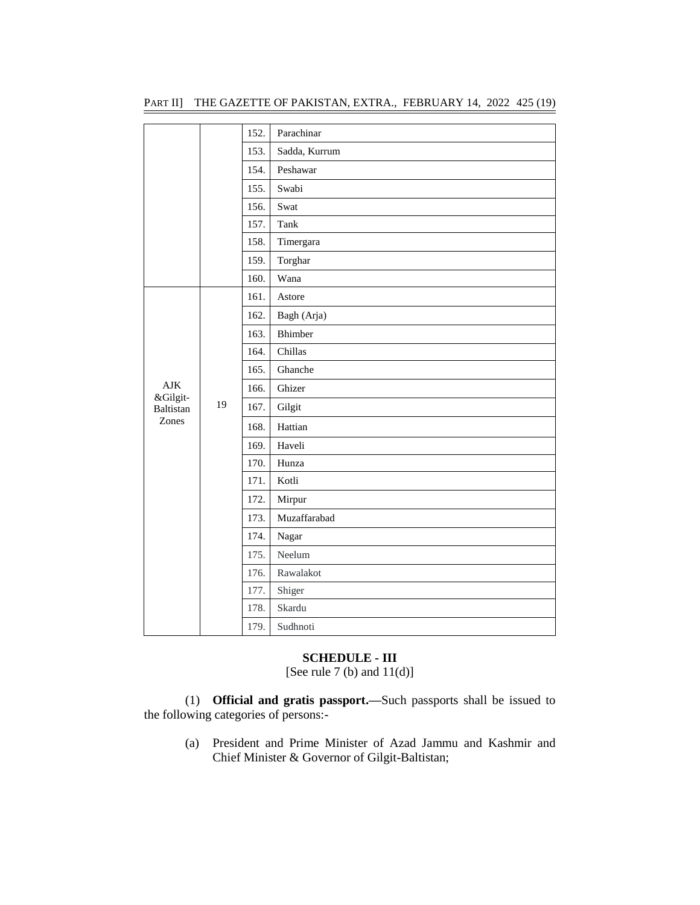|                                       |    | 152. | Parachinar    |
|---------------------------------------|----|------|---------------|
|                                       |    | 153. | Sadda, Kurrum |
|                                       |    | 154. | Peshawar      |
|                                       |    | 155. | Swabi         |
|                                       |    | 156. | Swat          |
|                                       |    | 157. | Tank          |
|                                       |    | 158. | Timergara     |
|                                       |    | 159. | Torghar       |
|                                       |    | 160. | Wana          |
| AJK<br>&Gilgit-<br>Baltistan<br>Zones | 19 | 161. | Astore        |
|                                       |    | 162. | Bagh (Arja)   |
|                                       |    | 163. | Bhimber       |
|                                       |    | 164. | Chillas       |
|                                       |    | 165. | Ghanche       |
|                                       |    | 166. | Ghizer        |
|                                       |    | 167. | Gilgit        |
|                                       |    | 168. | Hattian       |
|                                       |    | 169. | Haveli        |
|                                       |    | 170. | Hunza         |
|                                       |    | 171. | Kotli         |
|                                       |    | 172. | Mirpur        |
|                                       |    | 173. | Muzaffarabad  |
|                                       |    | 174. | Nagar         |
|                                       |    | 175. | Neelum        |
|                                       |    | 176. | Rawalakot     |
|                                       |    | 177. | Shiger        |
|                                       |    | 178. | Skardu        |
|                                       |    | 179. | Sudhnoti      |

# PART II] THE GAZETTE OF PAKISTAN, EXTRA., FEBRUARY 14, 2022 425 (19)

#### **SCHEDULE - III**

[See rule 7 (b) and  $11(d)$ ]

(1) **Official and gratis passport.—**Such passports shall be issued to the following categories of persons:-

(a) President and Prime Minister of Azad Jammu and Kashmir and Chief Minister & Governor of Gilgit-Baltistan;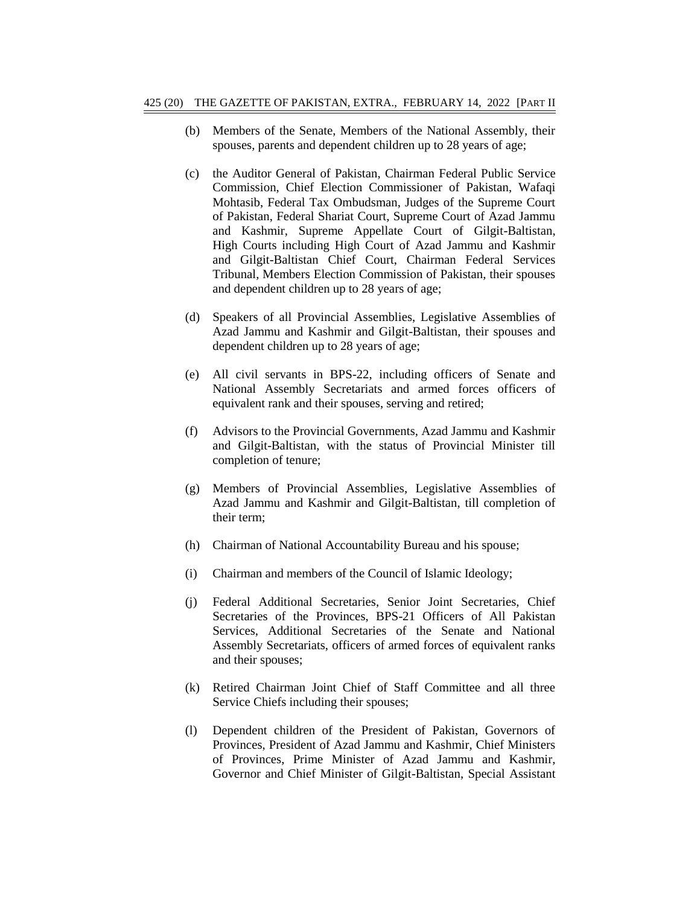- (b) Members of the Senate, Members of the National Assembly, their spouses, parents and dependent children up to 28 years of age;
- (c) the Auditor General of Pakistan, Chairman Federal Public Service Commission, Chief Election Commissioner of Pakistan, Wafaqi Mohtasib, Federal Tax Ombudsman, Judges of the Supreme Court of Pakistan, Federal Shariat Court, Supreme Court of Azad Jammu and Kashmir, Supreme Appellate Court of Gilgit-Baltistan, High Courts including High Court of Azad Jammu and Kashmir and Gilgit-Baltistan Chief Court, Chairman Federal Services Tribunal, Members Election Commission of Pakistan, their spouses and dependent children up to 28 years of age;
- (d) Speakers of all Provincial Assemblies, Legislative Assemblies of Azad Jammu and Kashmir and Gilgit-Baltistan, their spouses and dependent children up to 28 years of age;
- (e) All civil servants in BPS-22, including officers of Senate and National Assembly Secretariats and armed forces officers of equivalent rank and their spouses, serving and retired;
- (f) Advisors to the Provincial Governments, Azad Jammu and Kashmir and Gilgit-Baltistan, with the status of Provincial Minister till completion of tenure;
- (g) Members of Provincial Assemblies, Legislative Assemblies of Azad Jammu and Kashmir and Gilgit-Baltistan, till completion of their term;
- (h) Chairman of National Accountability Bureau and his spouse;
- (i) Chairman and members of the Council of Islamic Ideology;
- (j) Federal Additional Secretaries, Senior Joint Secretaries, Chief Secretaries of the Provinces, BPS-21 Officers of All Pakistan Services, Additional Secretaries of the Senate and National Assembly Secretariats, officers of armed forces of equivalent ranks and their spouses;
- (k) Retired Chairman Joint Chief of Staff Committee and all three Service Chiefs including their spouses;
- (l) Dependent children of the President of Pakistan, Governors of Provinces, President of Azad Jammu and Kashmir, Chief Ministers of Provinces, Prime Minister of Azad Jammu and Kashmir, Governor and Chief Minister of Gilgit-Baltistan, Special Assistant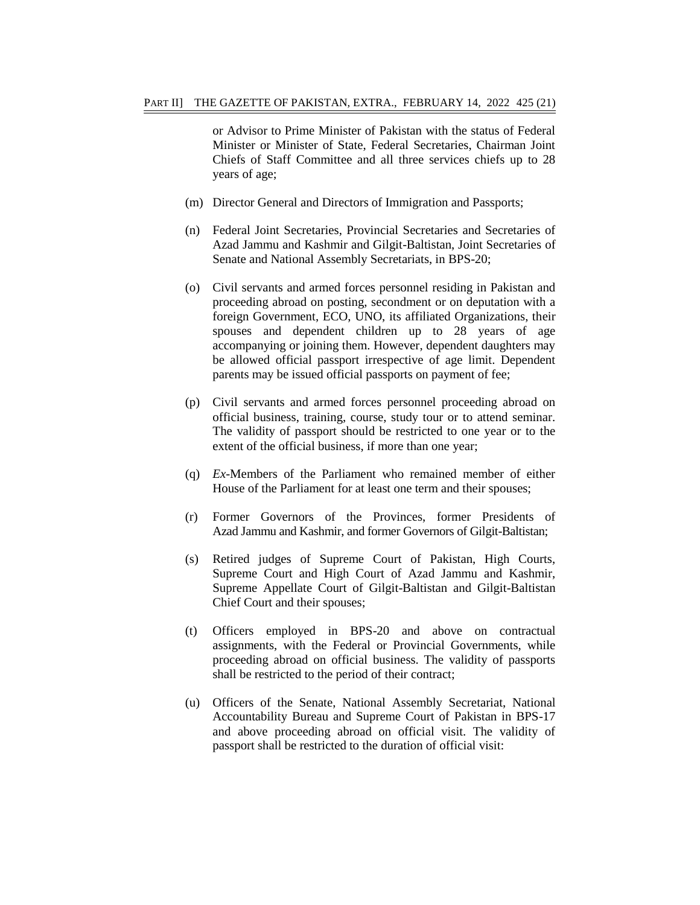or Advisor to Prime Minister of Pakistan with the status of Federal Minister or Minister of State, Federal Secretaries, Chairman Joint Chiefs of Staff Committee and all three services chiefs up to 28 years of age;

- (m) Director General and Directors of Immigration and Passports;
- (n) Federal Joint Secretaries, Provincial Secretaries and Secretaries of Azad Jammu and Kashmir and Gilgit-Baltistan, Joint Secretaries of Senate and National Assembly Secretariats, in BPS-20;
- (o) Civil servants and armed forces personnel residing in Pakistan and proceeding abroad on posting, secondment or on deputation with a foreign Government, ECO, UNO, its affiliated Organizations, their spouses and dependent children up to 28 years of age accompanying or joining them. However, dependent daughters may be allowed official passport irrespective of age limit. Dependent parents may be issued official passports on payment of fee;
- (p) Civil servants and armed forces personnel proceeding abroad on official business, training, course, study tour or to attend seminar. The validity of passport should be restricted to one year or to the extent of the official business, if more than one year;
- (q) *Ex*-Members of the Parliament who remained member of either House of the Parliament for at least one term and their spouses;
- (r) Former Governors of the Provinces, former Presidents of Azad Jammu and Kashmir, and former Governors of Gilgit-Baltistan;
- (s) Retired judges of Supreme Court of Pakistan, High Courts, Supreme Court and High Court of Azad Jammu and Kashmir, Supreme Appellate Court of Gilgit-Baltistan and Gilgit-Baltistan Chief Court and their spouses;
- (t) Officers employed in BPS-20 and above on contractual assignments, with the Federal or Provincial Governments, while proceeding abroad on official business. The validity of passports shall be restricted to the period of their contract;
- (u) Officers of the Senate, National Assembly Secretariat, National Accountability Bureau and Supreme Court of Pakistan in BPS-17 and above proceeding abroad on official visit. The validity of passport shall be restricted to the duration of official visit: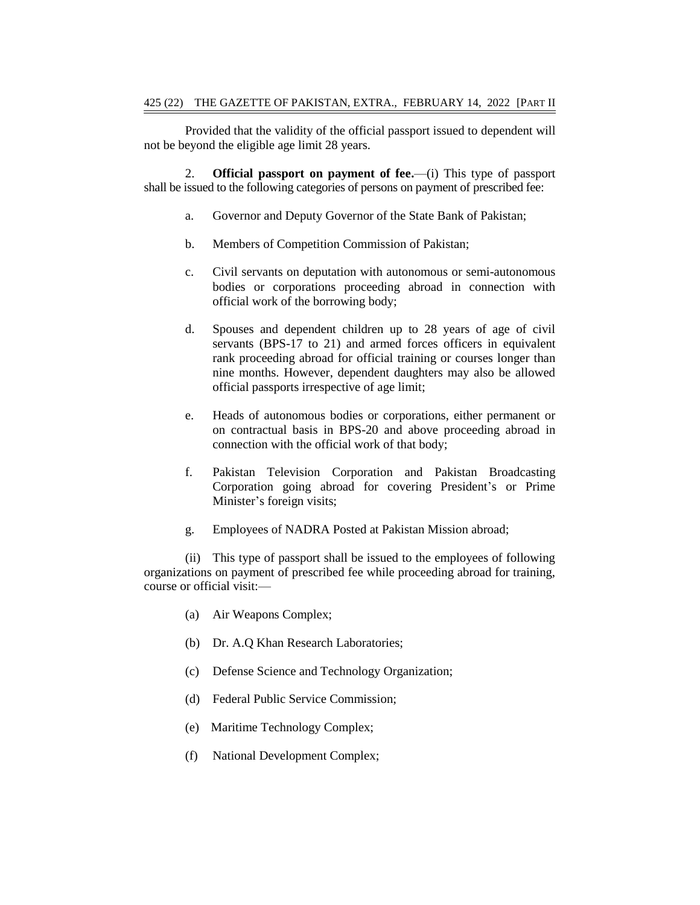Provided that the validity of the official passport issued to dependent will not be beyond the eligible age limit 28 years.

2. **Official passport on payment of fee.**—(i) This type of passport shall be issued to the following categories of persons on payment of prescribed fee:

- a. Governor and Deputy Governor of the State Bank of Pakistan;
- b. Members of Competition Commission of Pakistan;
- c. Civil servants on deputation with autonomous or semi-autonomous bodies or corporations proceeding abroad in connection with official work of the borrowing body;
- d. Spouses and dependent children up to 28 years of age of civil servants (BPS-17 to 21) and armed forces officers in equivalent rank proceeding abroad for official training or courses longer than nine months. However, dependent daughters may also be allowed official passports irrespective of age limit;
- e. Heads of autonomous bodies or corporations, either permanent or on contractual basis in BPS-20 and above proceeding abroad in connection with the official work of that body;
- f. Pakistan Television Corporation and Pakistan Broadcasting Corporation going abroad for covering President"s or Prime Minister's foreign visits;
- g. Employees of NADRA Posted at Pakistan Mission abroad;

(ii) This type of passport shall be issued to the employees of following organizations on payment of prescribed fee while proceeding abroad for training, course or official visit:—

- (a) Air Weapons Complex;
- (b) Dr. A.Q Khan Research Laboratories;
- (c) Defense Science and Technology Organization;
- (d) Federal Public Service Commission;
- (e) Maritime Technology Complex;
- (f) National Development Complex;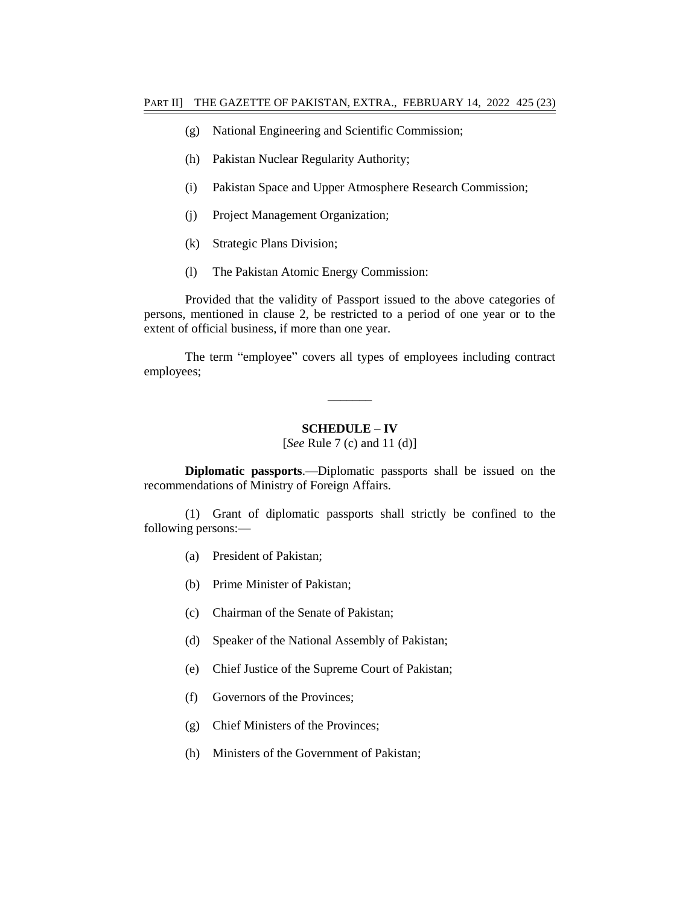- (g) National Engineering and Scientific Commission;
- (h) Pakistan Nuclear Regularity Authority;
- (i) Pakistan Space and Upper Atmosphere Research Commission;
- (j) Project Management Organization;
- (k) Strategic Plans Division;
- (l) The Pakistan Atomic Energy Commission:

Provided that the validity of Passport issued to the above categories of persons, mentioned in clause 2, be restricted to a period of one year or to the extent of official business, if more than one year.

The term "employee" covers all types of employees including contract employees;

#### **SCHEDULE – IV**

**–––––––**

[*See* Rule 7 (c) and 11 (d)]

**Diplomatic passports**.—Diplomatic passports shall be issued on the recommendations of Ministry of Foreign Affairs.

(1) Grant of diplomatic passports shall strictly be confined to the following persons:—

- (a) President of Pakistan;
- (b) Prime Minister of Pakistan;
- (c) Chairman of the Senate of Pakistan;
- (d) Speaker of the National Assembly of Pakistan;
- (e) Chief Justice of the Supreme Court of Pakistan;
- (f) Governors of the Provinces;
- (g) Chief Ministers of the Provinces;
- (h) Ministers of the Government of Pakistan;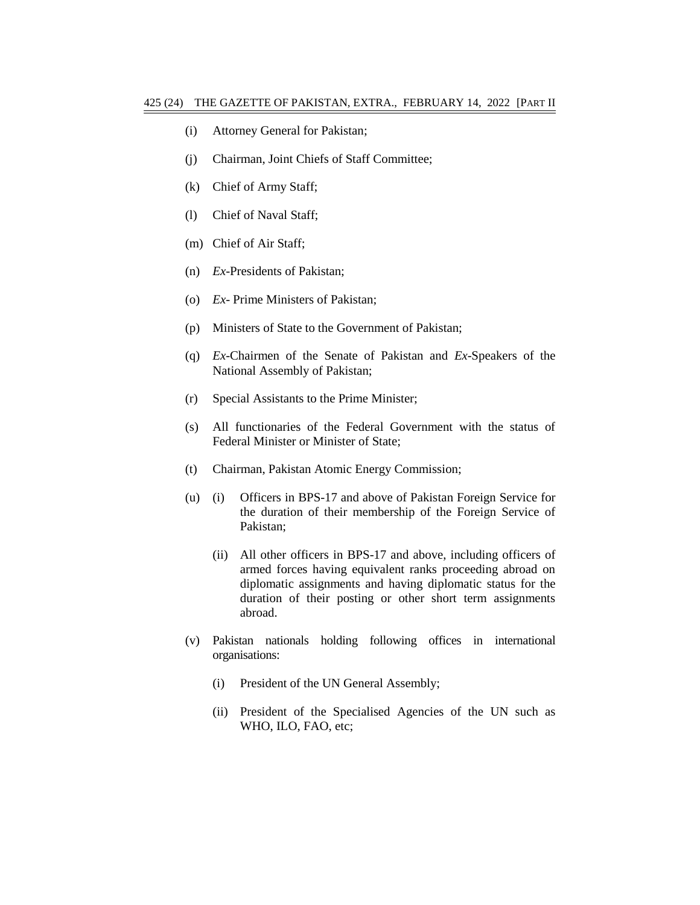- (i) Attorney General for Pakistan;
- (j) Chairman, Joint Chiefs of Staff Committee;
- (k) Chief of Army Staff;
- (l) Chief of Naval Staff;
- (m) Chief of Air Staff;
- (n) *Ex*-Presidents of Pakistan;
- (o) *Ex* Prime Ministers of Pakistan;
- (p) Ministers of State to the Government of Pakistan;
- (q) *Ex*-Chairmen of the Senate of Pakistan and *Ex*-Speakers of the National Assembly of Pakistan;
- (r) Special Assistants to the Prime Minister;
- (s) All functionaries of the Federal Government with the status of Federal Minister or Minister of State;
- (t) Chairman, Pakistan Atomic Energy Commission;
- (u) (i) Officers in BPS-17 and above of Pakistan Foreign Service for the duration of their membership of the Foreign Service of Pakistan;
	- (ii) All other officers in BPS-17 and above, including officers of armed forces having equivalent ranks proceeding abroad on diplomatic assignments and having diplomatic status for the duration of their posting or other short term assignments abroad.
- (v) Pakistan nationals holding following offices in international organisations:
	- (i) President of the UN General Assembly;
	- (ii) President of the Specialised Agencies of the UN such as WHO, ILO, FAO, etc;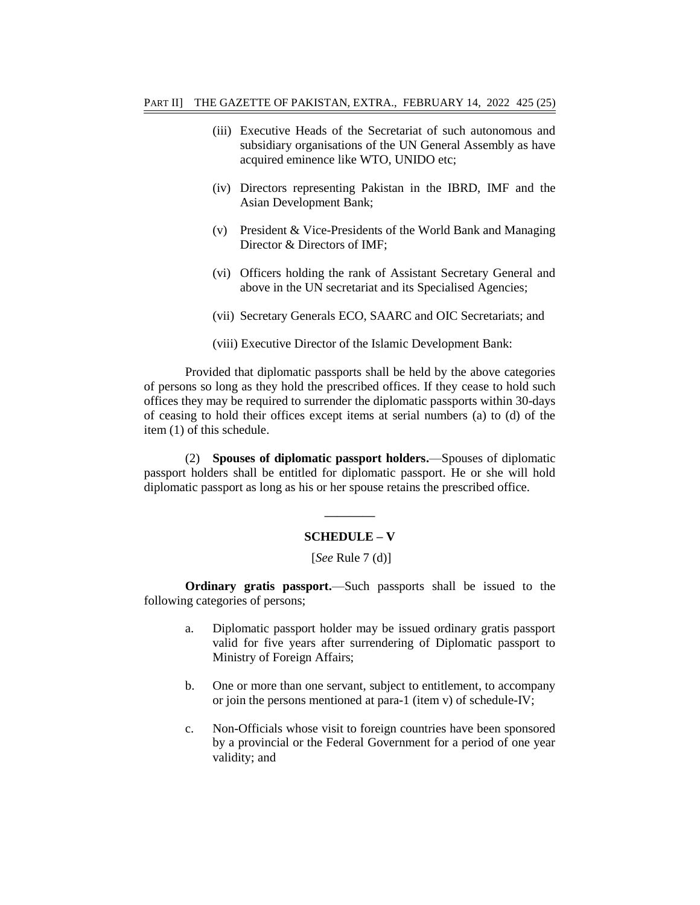- (iii) Executive Heads of the Secretariat of such autonomous and subsidiary organisations of the UN General Assembly as have acquired eminence like WTO, UNIDO etc;
- (iv) Directors representing Pakistan in the IBRD, IMF and the Asian Development Bank;
- (v) President & Vice-Presidents of the World Bank and Managing Director & Directors of IMF;
- (vi) Officers holding the rank of Assistant Secretary General and above in the UN secretariat and its Specialised Agencies;
- (vii) Secretary Generals ECO, SAARC and OIC Secretariats; and
- (viii) Executive Director of the Islamic Development Bank:

Provided that diplomatic passports shall be held by the above categories of persons so long as they hold the prescribed offices. If they cease to hold such offices they may be required to surrender the diplomatic passports within 30-days of ceasing to hold their offices except items at serial numbers (a) to (d) of the item (1) of this schedule.

(2) **Spouses of diplomatic passport holders.**—Spouses of diplomatic passport holders shall be entitled for diplomatic passport. He or she will hold diplomatic passport as long as his or her spouse retains the prescribed office.

# **———— SCHEDULE – V**

[*See* Rule 7 (d)]

**Ordinary gratis passport.**—Such passports shall be issued to the following categories of persons;

- a. Diplomatic passport holder may be issued ordinary gratis passport valid for five years after surrendering of Diplomatic passport to Ministry of Foreign Affairs;
- b. One or more than one servant, subject to entitlement, to accompany or join the persons mentioned at para-1 (item v) of schedule-IV;
- c. Non-Officials whose visit to foreign countries have been sponsored by a provincial or the Federal Government for a period of one year validity; and